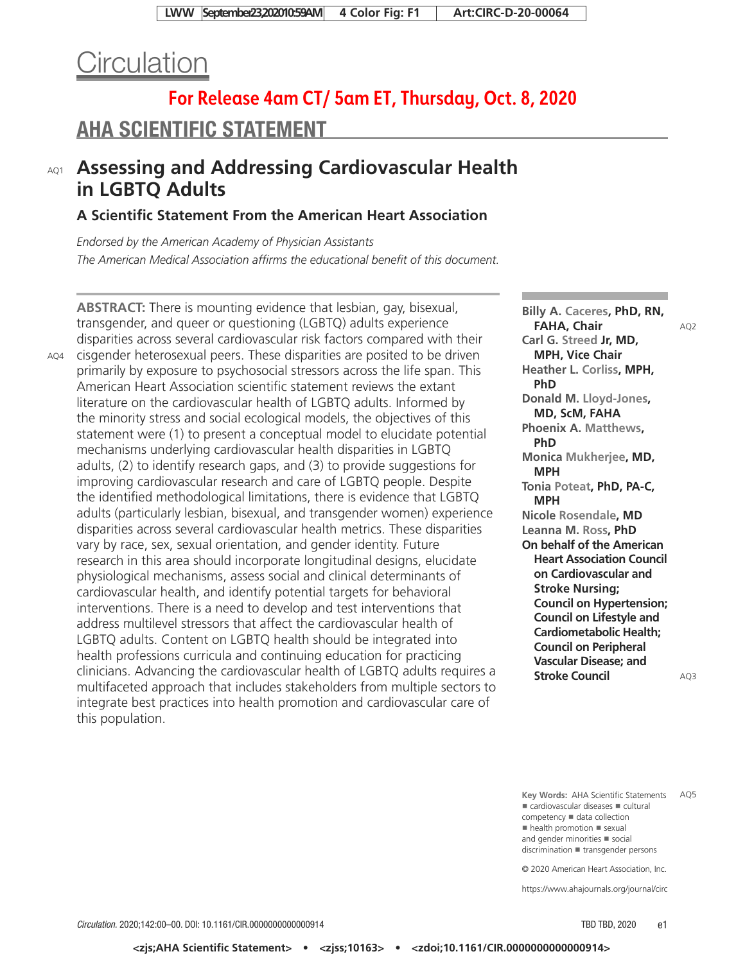# **Circulation**

# **For Release 4am CT/ 5am ET, Thursday, Oct. 8, 2020**

# **AHA SCIENTIFIC STATEMENT**

#### $AO1$

# **Assessing and Addressing Cardiovascular Health in LGBTQ Adults**

## **A Scientific Statement From the American Heart Association**

*Endorsed by the American Academy of Physician Assistants The American Medical Association affirms the educational benefit of this document.* 

**ABSTRACT:** There is mounting evidence that lesbian, gay, bisexual, transgender, and queer or questioning (LGBTQ) adults experience disparities across several cardiovascular risk factors compared with their cisgender heterosexual peers. These disparities are posited to be driven primarily by exposure to psychosocial stressors across the life span. This American Heart Association scientific statement reviews the extant literature on the cardiovascular health of LGBTQ adults. Informed by the minority stress and social ecological models, the objectives of this statement were (1) to present a conceptual model to elucidate potential mechanisms underlying cardiovascular health disparities in LGBTQ adults, (2) to identify research gaps, and (3) to provide suggestions for improving cardiovascular research and care of LGBTQ people. Despite the identified methodological limitations, there is evidence that LGBTQ adults (particularly lesbian, bisexual, and transgender women) experience disparities across several cardiovascular health metrics. These disparities vary by race, sex, sexual orientation, and gender identity. Future research in this area should incorporate longitudinal designs, elucidate physiological mechanisms, assess social and clinical determinants of cardiovascular health, and identify potential targets for behavioral interventions. There is a need to develop and test interventions that address multilevel stressors that affect the cardiovascular health of LGBTQ adults. Content on LGBTQ health should be integrated into health professions curricula and continuing education for practicing clinicians. Advancing the cardiovascular health of LGBTQ adults requires a multifaceted approach that includes stakeholders from multiple sectors to integrate best practices into health promotion and cardiovascular care of this population. AQ4

**Billy A. Caceres, PhD, RN, FAHA, Chair Carl G. Streed Jr, MD, MPH, Vice Chair Heather L. Corliss, MPH, PhD Donald M. Lloyd-Jones, MD, ScM, FAHA Phoenix A. Matthews, PhD Monica Mukherjee, MD, MPH Tonia Poteat, PhD, PA-C, MPH Nicole Rosendale, MD Leanna M. Ross, PhD On behalf of the American Heart Association Council on Cardiovascular and Stroke Nursing; Council on Hypertension; Council on Lifestyle and Cardiometabolic Health; Council on Peripheral Vascular Disease; and Stroke Council** AQ2

AQ3

competency ◼ data collection ■ health promotion ■ sexual

and gender minorities ■ social

discrimination ◼ transgender persons

© 2020 American Heart Association, Inc.

https://www.ahajournals.org/journal/circ

**Key Words:** AHA Scientific Statements ■ cardiovascular diseases ■ cultural AQ5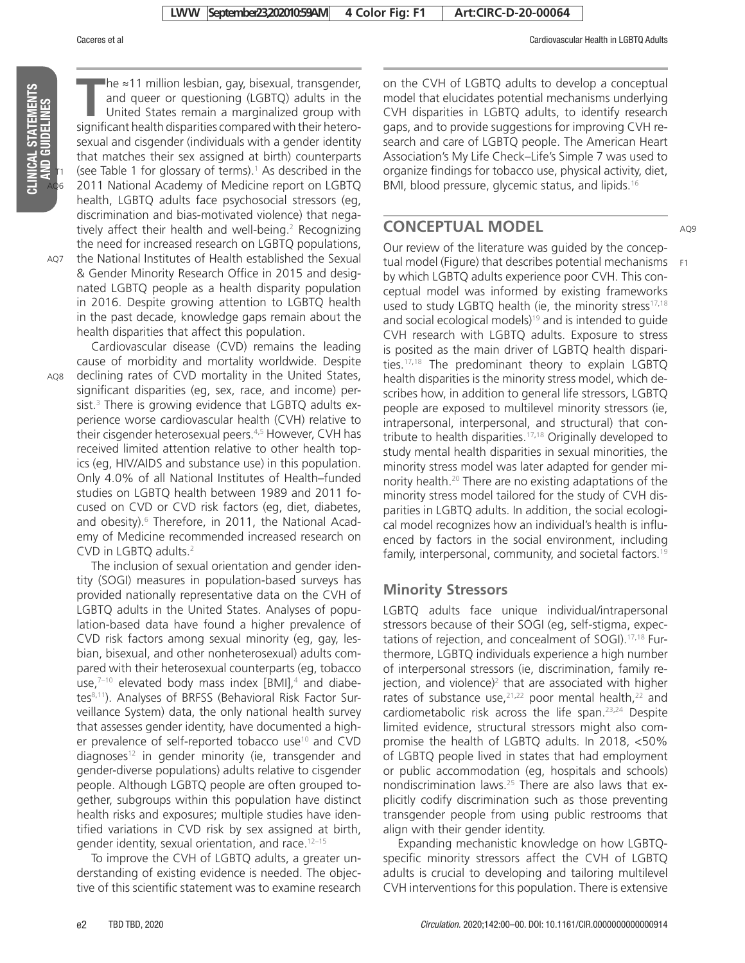**CLINICAL STATEMENTS AND GUIDELINES** CLINICAL STATEMENTS<br>AND GUIDELINES

T1

 $AO7$ 

AQ8

The ≈11 million lesbian, gay, bisexual, transgender,<br>
and queer or questioning (LGBTQ) adults in the<br>
United States remain a marginalized group with<br>
significant boath disposities compared with their botates and queer or questioning (LGBTQ) adults in the significant health disparities compared with their heterosexual and cisgender (individuals with a gender identity that matches their sex assigned at birth) counterparts (see Table 1 for glossary of terms). $1$  As described in the 2011 National Academy of Medicine report on LGBTQ health, LGBTQ adults face psychosocial stressors (eg, discrimination and bias-motivated violence) that negatively affect their health and well-being.<sup>2</sup> Recognizing the need for increased research on LGBTQ populations, the National Institutes of Health established the Sexual & Gender Minority Research Office in 2015 and desig-

nated LGBTQ people as a health disparity population in 2016. Despite growing attention to LGBTQ health in the past decade, knowledge gaps remain about the health disparities that affect this population.

Cardiovascular disease (CVD) remains the leading cause of morbidity and mortality worldwide. Despite declining rates of CVD mortality in the United States, significant disparities (eg, sex, race, and income) persist. $3$  There is growing evidence that LGBTQ adults experience worse cardiovascular health (CVH) relative to their cisgender heterosexual peers.4,5 However, CVH has received limited attention relative to other health topics (eg, HIV/AIDS and substance use) in this population. Only 4.0% of all National Institutes of Health–funded studies on LGBTQ health between 1989 and 2011 focused on CVD or CVD risk factors (eg, diet, diabetes, and obesity).<sup>6</sup> Therefore, in 2011, the National Academy of Medicine recommended increased research on CVD in LGBTQ adults.2

The inclusion of sexual orientation and gender identity (SOGI) measures in population-based surveys has provided nationally representative data on the CVH of LGBTQ adults in the United States. Analyses of population-based data have found a higher prevalence of CVD risk factors among sexual minority (eg, gay, lesbian, bisexual, and other nonheterosexual) adults compared with their heterosexual counterparts (eg, tobacco use, $7^{-10}$  elevated body mass index [BMI], $4$  and diabetes<sup>8,11</sup>). Analyses of BRFSS (Behavioral Risk Factor Surveillance System) data, the only national health survey that assesses gender identity, have documented a higher prevalence of self-reported tobacco use<sup>10</sup> and CVD diagnoses<sup>12</sup> in gender minority (ie, transgender and gender-diverse populations) adults relative to cisgender people. Although LGBTQ people are often grouped together, subgroups within this population have distinct health risks and exposures; multiple studies have identified variations in CVD risk by sex assigned at birth, gender identity, sexual orientation, and race.<sup>12–15</sup>

To improve the CVH of LGBTQ adults, a greater understanding of existing evidence is needed. The objective of this scientific statement was to examine research on the CVH of LGBTQ adults to develop a conceptual model that elucidates potential mechanisms underlying CVH disparities in LGBTQ adults, to identify research gaps, and to provide suggestions for improving CVH research and care of LGBTQ people. The American Heart Association's My Life Check–Life's Simple 7 was used to organize findings for tobacco use, physical activity, diet, BMI, blood pressure, glycemic status, and lipids.<sup>16</sup>

#### **CONCEPTUAL MODEL**

Our review of the literature was guided by the conceptual model (Figure) that describes potential mechanisms F1by which LGBTQ adults experience poor CVH. This conceptual model was informed by existing frameworks used to study LGBTQ health (ie, the minority stress<sup>17,18</sup>) and social ecological models)<sup>19</sup> and is intended to guide CVH research with LGBTQ adults. Exposure to stress is posited as the main driver of LGBTQ health disparities.17,18 The predominant theory to explain LGBTQ health disparities is the minority stress model, which describes how, in addition to general life stressors, LGBTQ people are exposed to multilevel minority stressors (ie, intrapersonal, interpersonal, and structural) that contribute to health disparities.17,18 Originally developed to study mental health disparities in sexual minorities, the minority stress model was later adapted for gender minority health.20 There are no existing adaptations of the minority stress model tailored for the study of CVH disparities in LGBTQ adults. In addition, the social ecological model recognizes how an individual's health is influenced by factors in the social environment, including family, interpersonal, community, and societal factors.<sup>19</sup>

#### **Minority Stressors**

LGBTQ adults face unique individual/intrapersonal stressors because of their SOGI (eg, self-stigma, expectations of rejection, and concealment of SOGI).17,18 Furthermore, LGBTQ individuals experience a high number of interpersonal stressors (ie, discrimination, family rejection, and violence)<sup>2</sup> that are associated with higher rates of substance use, $2^{1,22}$  poor mental health, $2^{2}$  and cardiometabolic risk across the life span.23,24 Despite limited evidence, structural stressors might also compromise the health of LGBTQ adults. In 2018, <50% of LGBTQ people lived in states that had employment or public accommodation (eg, hospitals and schools) nondiscrimination laws.25 There are also laws that explicitly codify discrimination such as those preventing transgender people from using public restrooms that align with their gender identity.

Expanding mechanistic knowledge on how LGBTQspecific minority stressors affect the CVH of LGBTQ adults is crucial to developing and tailoring multilevel CVH interventions for this population. There is extensive

AQ9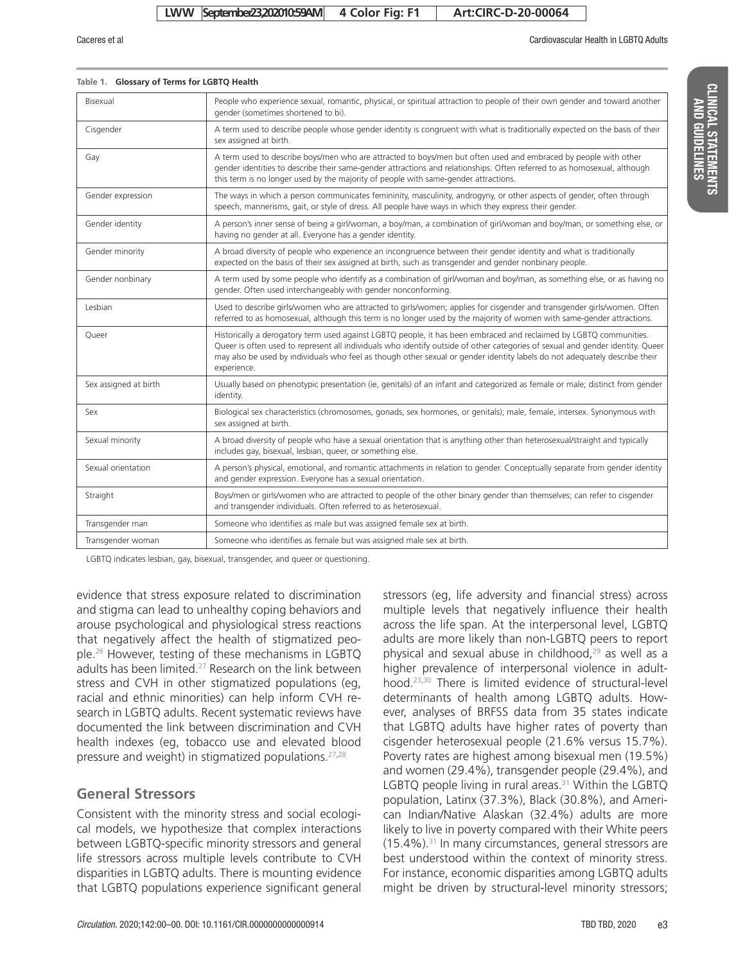#### **Table 1. Glossary of Terms for LGBTQ Health**

| Bisexual              | People who experience sexual, romantic, physical, or spiritual attraction to people of their own gender and toward another<br>gender (sometimes shortened to bi).                                                                                                                                                                                                                                 |
|-----------------------|---------------------------------------------------------------------------------------------------------------------------------------------------------------------------------------------------------------------------------------------------------------------------------------------------------------------------------------------------------------------------------------------------|
| Cisgender             | A term used to describe people whose gender identity is congruent with what is traditionally expected on the basis of their<br>sex assigned at birth.                                                                                                                                                                                                                                             |
| Gay                   | A term used to describe boys/men who are attracted to boys/men but often used and embraced by people with other<br>gender identities to describe their same-gender attractions and relationships. Often referred to as homosexual, although<br>this term is no longer used by the majority of people with same-gender attractions.                                                                |
| Gender expression     | The ways in which a person communicates femininity, masculinity, androgyny, or other aspects of gender, often through<br>speech, mannerisms, gait, or style of dress. All people have ways in which they express their gender.                                                                                                                                                                    |
| Gender identity       | A person's inner sense of being a girl/woman, a boy/man, a combination of girl/woman and boy/man, or something else, or<br>having no gender at all. Everyone has a gender identity.                                                                                                                                                                                                               |
| Gender minority       | A broad diversity of people who experience an incongruence between their gender identity and what is traditionally<br>expected on the basis of their sex assigned at birth, such as transgender and gender nonbinary people.                                                                                                                                                                      |
| Gender nonbinary      | A term used by some people who identify as a combination of girl/woman and boy/man, as something else, or as having no<br>gender. Often used interchangeably with gender nonconforming.                                                                                                                                                                                                           |
| Lesbian               | Used to describe girls/women who are attracted to girls/women; applies for cisgender and transgender girls/women. Often<br>referred to as homosexual, although this term is no longer used by the majority of women with same-gender attractions.                                                                                                                                                 |
| Queer                 | Historically a derogatory term used against LGBTQ people, it has been embraced and reclaimed by LGBTQ communities.<br>Queer is often used to represent all individuals who identify outside of other categories of sexual and gender identity. Queer<br>may also be used by individuals who feel as though other sexual or gender identity labels do not adequately describe their<br>experience. |
| Sex assigned at birth | Usually based on phenotypic presentation (ie, genitals) of an infant and categorized as female or male; distinct from gender<br>identity.                                                                                                                                                                                                                                                         |
| Sex                   | Biological sex characteristics (chromosomes, gonads, sex hormones, or genitals); male, female, intersex. Synonymous with<br>sex assigned at birth.                                                                                                                                                                                                                                                |
| Sexual minority       | A broad diversity of people who have a sexual orientation that is anything other than heterosexual/straight and typically<br>includes gay, bisexual, lesbian, queer, or something else.                                                                                                                                                                                                           |
| Sexual orientation    | A person's physical, emotional, and romantic attachments in relation to gender. Conceptually separate from gender identity<br>and gender expression. Everyone has a sexual orientation.                                                                                                                                                                                                           |
| Straight              | Boys/men or girls/women who are attracted to people of the other binary gender than themselves; can refer to cisgender<br>and transgender individuals. Often referred to as heterosexual.                                                                                                                                                                                                         |
| Transgender man       | Someone who identifies as male but was assigned female sex at birth.                                                                                                                                                                                                                                                                                                                              |
| Transgender woman     | Someone who identifies as female but was assigned male sex at birth.                                                                                                                                                                                                                                                                                                                              |

LGBTQ indicates lesbian, gay, bisexual, transgender, and queer or questioning.

evidence that stress exposure related to discrimination and stigma can lead to unhealthy coping behaviors and arouse psychological and physiological stress reactions that negatively affect the health of stigmatized people.26 However, testing of these mechanisms in LGBTQ adults has been limited.<sup>27</sup> Research on the link between stress and CVH in other stigmatized populations (eg, racial and ethnic minorities) can help inform CVH research in LGBTQ adults. Recent systematic reviews have documented the link between discrimination and CVH health indexes (eg, tobacco use and elevated blood pressure and weight) in stigmatized populations.27,28

#### **General Stressors**

Consistent with the minority stress and social ecological models, we hypothesize that complex interactions between LGBTQ-specific minority stressors and general life stressors across multiple levels contribute to CVH disparities in LGBTQ adults. There is mounting evidence that LGBTQ populations experience significant general

stressors (eg, life adversity and financial stress) across multiple levels that negatively influence their health across the life span. At the interpersonal level, LGBTQ adults are more likely than non-LGBTQ peers to report physical and sexual abuse in childhood,<sup>29</sup> as well as a higher prevalence of interpersonal violence in adulthood.23,30 There is limited evidence of structural-level determinants of health among LGBTQ adults. However, analyses of BRFSS data from 35 states indicate that LGBTQ adults have higher rates of poverty than cisgender heterosexual people (21.6% versus 15.7%). Poverty rates are highest among bisexual men (19.5%) and women (29.4%), transgender people (29.4%), and LGBTQ people living in rural areas.<sup>31</sup> Within the LGBTQ population, Latinx (37.3%), Black (30.8%), and American Indian/Native Alaskan (32.4%) adults are more likely to live in poverty compared with their White peers  $(15.4\%)$ .<sup>31</sup> In many circumstances, general stressors are best understood within the context of minority stress. For instance, economic disparities among LGBTQ adults might be driven by structural-level minority stressors;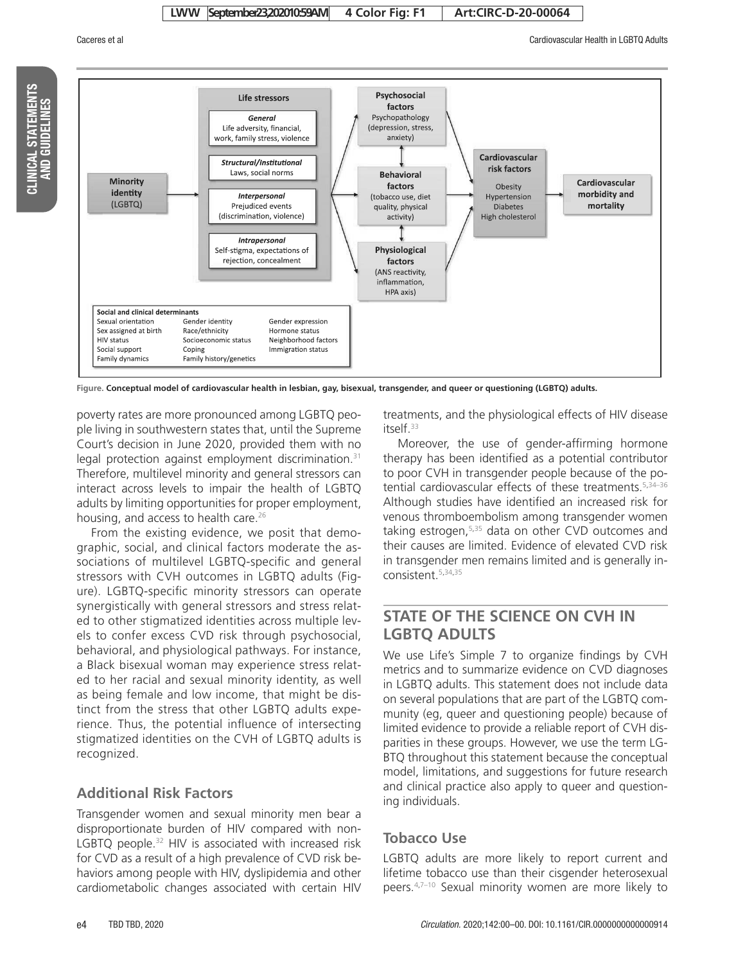

**Figure. Conceptual model of cardiovascular health in lesbian, gay, bisexual, transgender, and queer or questioning (LGBTQ) adults.**

poverty rates are more pronounced among LGBTQ people living in southwestern states that, until the Supreme Court's decision in June 2020, provided them with no legal protection against employment discrimination. $31$ Therefore, multilevel minority and general stressors can interact across levels to impair the health of LGBTQ adults by limiting opportunities for proper employment, housing, and access to health care.<sup>26</sup>

From the existing evidence, we posit that demographic, social, and clinical factors moderate the associations of multilevel LGBTQ-specific and general stressors with CVH outcomes in LGBTQ adults (Figure). LGBTQ-specific minority stressors can operate synergistically with general stressors and stress related to other stigmatized identities across multiple levels to confer excess CVD risk through psychosocial, behavioral, and physiological pathways. For instance, a Black bisexual woman may experience stress related to her racial and sexual minority identity, as well as being female and low income, that might be distinct from the stress that other LGBTQ adults experience. Thus, the potential influence of intersecting stigmatized identities on the CVH of LGBTQ adults is recognized.

#### **Additional Risk Factors**

Transgender women and sexual minority men bear a disproportionate burden of HIV compared with non-LGBTQ people.<sup>32</sup> HIV is associated with increased risk for CVD as a result of a high prevalence of CVD risk behaviors among people with HIV, dyslipidemia and other cardiometabolic changes associated with certain HIV

treatments, and the physiological effects of HIV disease itself.<sup>33</sup>

Moreover, the use of gender-affirming hormone therapy has been identified as a potential contributor to poor CVH in transgender people because of the potential cardiovascular effects of these treatments.5,34–36 Although studies have identified an increased risk for venous thromboembolism among transgender women taking estrogen,5,35 data on other CVD outcomes and their causes are limited. Evidence of elevated CVD risk in transgender men remains limited and is generally inconsistent.5,34,35

# **STATE OF THE SCIENCE ON CVH IN LGBTQ ADULTS**

We use Life's Simple 7 to organize findings by CVH metrics and to summarize evidence on CVD diagnoses in LGBTQ adults. This statement does not include data on several populations that are part of the LGBTQ community (eg, queer and questioning people) because of limited evidence to provide a reliable report of CVH disparities in these groups. However, we use the term LG-BTQ throughout this statement because the conceptual model, limitations, and suggestions for future research and clinical practice also apply to queer and questioning individuals.

#### **Tobacco Use**

LGBTQ adults are more likely to report current and lifetime tobacco use than their cisgender heterosexual peers.4,7–10 Sexual minority women are more likely to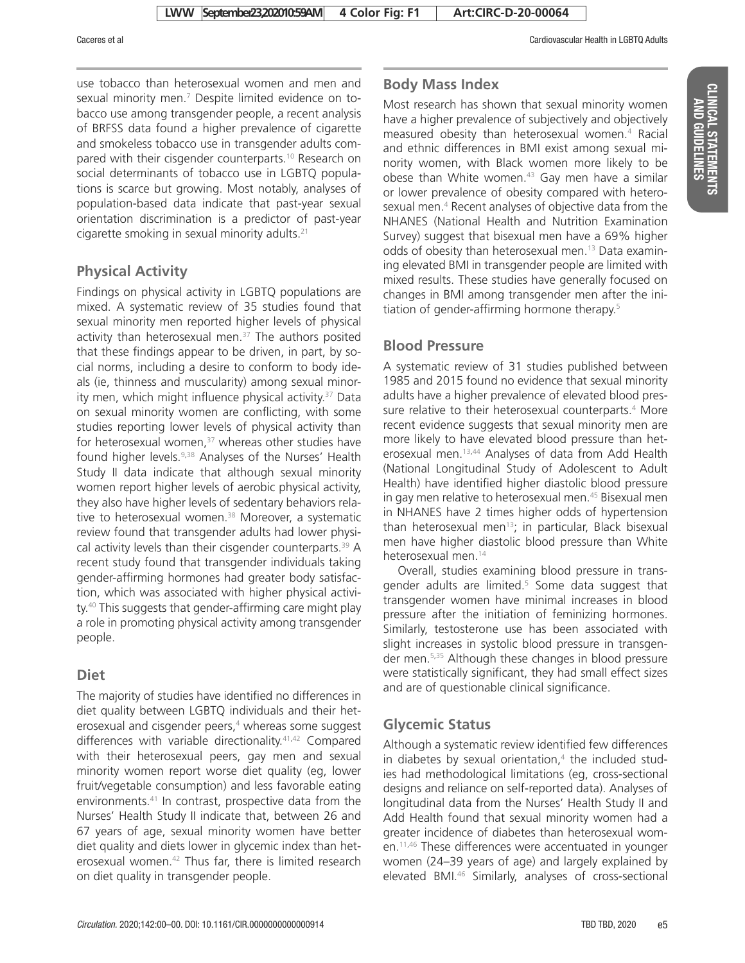Caceres et al Cardiovascular Health in LGBTQ Adults

use tobacco than heterosexual women and men and sexual minority men.7 Despite limited evidence on tobacco use among transgender people, a recent analysis of BRFSS data found a higher prevalence of cigarette and smokeless tobacco use in transgender adults compared with their cisgender counterparts.<sup>10</sup> Research on social determinants of tobacco use in LGBTQ populations is scarce but growing. Most notably, analyses of population-based data indicate that past-year sexual orientation discrimination is a predictor of past-year cigarette smoking in sexual minority adults.21

#### **Physical Activity**

Findings on physical activity in LGBTQ populations are mixed. A systematic review of 35 studies found that sexual minority men reported higher levels of physical activity than heterosexual men. $37$  The authors posited that these findings appear to be driven, in part, by social norms, including a desire to conform to body ideals (ie, thinness and muscularity) among sexual minority men, which might influence physical activity. $37$  Data on sexual minority women are conflicting, with some studies reporting lower levels of physical activity than for heterosexual women, $37$  whereas other studies have found higher levels.<sup>9,38</sup> Analyses of the Nurses' Health Study II data indicate that although sexual minority women report higher levels of aerobic physical activity, they also have higher levels of sedentary behaviors relative to heterosexual women.<sup>38</sup> Moreover, a systematic review found that transgender adults had lower physical activity levels than their cisgender counterparts.<sup>39</sup> A recent study found that transgender individuals taking gender-affirming hormones had greater body satisfaction, which was associated with higher physical activity.40 This suggests that gender-affirming care might play a role in promoting physical activity among transgender people.

#### **Diet**

The majority of studies have identified no differences in diet quality between LGBTQ individuals and their heterosexual and cisgender peers,<sup>4</sup> whereas some suggest differences with variable directionality.41,42 Compared with their heterosexual peers, gay men and sexual minority women report worse diet quality (eg, lower fruit/vegetable consumption) and less favorable eating environments.41 In contrast, prospective data from the Nurses' Health Study II indicate that, between 26 and 67 years of age, sexual minority women have better diet quality and diets lower in glycemic index than heterosexual women.<sup>42</sup> Thus far, there is limited research on diet quality in transgender people.

#### **Body Mass Index**

Most research has shown that sexual minority women have a higher prevalence of subjectively and objectively measured obesity than heterosexual women.4 Racial and ethnic differences in BMI exist among sexual minority women, with Black women more likely to be obese than White women. $43$  Gay men have a similar or lower prevalence of obesity compared with heterosexual men.4 Recent analyses of objective data from the NHANES (National Health and Nutrition Examination Survey) suggest that bisexual men have a 69% higher odds of obesity than heterosexual men.13 Data examining elevated BMI in transgender people are limited with mixed results. These studies have generally focused on changes in BMI among transgender men after the initiation of gender-affirming hormone therapy.5

#### **Blood Pressure**

A systematic review of 31 studies published between 1985 and 2015 found no evidence that sexual minority adults have a higher prevalence of elevated blood pressure relative to their heterosexual counterparts.<sup>4</sup> More recent evidence suggests that sexual minority men are more likely to have elevated blood pressure than heterosexual men.13,44 Analyses of data from Add Health (National Longitudinal Study of Adolescent to Adult Health) have identified higher diastolic blood pressure in gay men relative to heterosexual men.<sup>45</sup> Bisexual men in NHANES have 2 times higher odds of hypertension than heterosexual men<sup>13</sup>; in particular, Black bisexual men have higher diastolic blood pressure than White heterosexual men.<sup>14</sup>

Overall, studies examining blood pressure in transgender adults are limited.<sup>5</sup> Some data suggest that transgender women have minimal increases in blood pressure after the initiation of feminizing hormones. Similarly, testosterone use has been associated with slight increases in systolic blood pressure in transgender men.5,35 Although these changes in blood pressure were statistically significant, they had small effect sizes and are of questionable clinical significance.

#### **Glycemic Status**

Although a systematic review identified few differences in diabetes by sexual orientation, $4$  the included studies had methodological limitations (eg, cross-sectional designs and reliance on self-reported data). Analyses of longitudinal data from the Nurses' Health Study II and Add Health found that sexual minority women had a greater incidence of diabetes than heterosexual women.11,46 These differences were accentuated in younger women (24–39 years of age) and largely explained by elevated BMI.46 Similarly, analyses of cross-sectional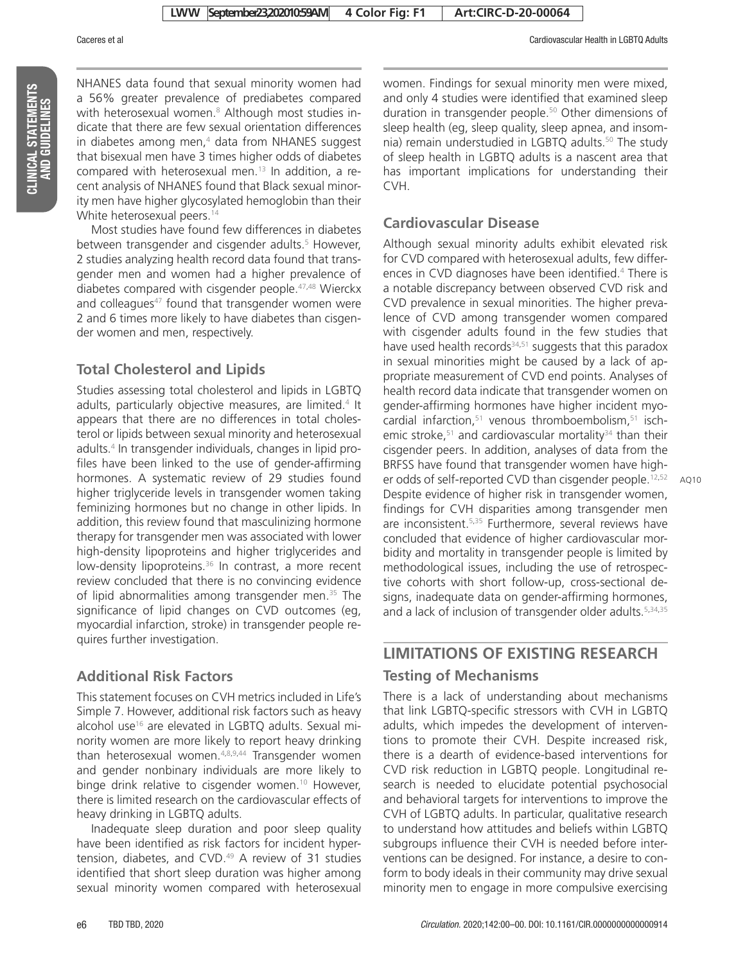NHANES data found that sexual minority women had a 56% greater prevalence of prediabetes compared with heterosexual women.<sup>8</sup> Although most studies indicate that there are few sexual orientation differences in diabetes among men,<sup>4</sup> data from NHANES suggest that bisexual men have 3 times higher odds of diabetes compared with heterosexual men. $13$  In addition, a recent analysis of NHANES found that Black sexual minority men have higher glycosylated hemoglobin than their White heterosexual peers.<sup>14</sup>

Most studies have found few differences in diabetes between transgender and cisgender adults.<sup>5</sup> However, 2 studies analyzing health record data found that transgender men and women had a higher prevalence of diabetes compared with cisgender people.47,48 Wierckx and colleagues $47$  found that transgender women were 2 and 6 times more likely to have diabetes than cisgender women and men, respectively.

# **Total Cholesterol and Lipids**

Studies assessing total cholesterol and lipids in LGBTQ adults, particularly objective measures, are limited.<sup>4</sup> It appears that there are no differences in total cholesterol or lipids between sexual minority and heterosexual adults.4 In transgender individuals, changes in lipid profiles have been linked to the use of gender-affirming hormones. A systematic review of 29 studies found higher triglyceride levels in transgender women taking feminizing hormones but no change in other lipids. In addition, this review found that masculinizing hormone therapy for transgender men was associated with lower high-density lipoproteins and higher triglycerides and low-density lipoproteins.<sup>36</sup> In contrast, a more recent review concluded that there is no convincing evidence of lipid abnormalities among transgender men.35 The significance of lipid changes on CVD outcomes (eg, myocardial infarction, stroke) in transgender people requires further investigation.

# **Additional Risk Factors**

This statement focuses on CVH metrics included in Life's Simple 7. However, additional risk factors such as heavy alcohol use<sup>16</sup> are elevated in LGBTQ adults. Sexual minority women are more likely to report heavy drinking than heterosexual women.<sup>4,8,9,44</sup> Transgender women and gender nonbinary individuals are more likely to binge drink relative to cisgender women.<sup>10</sup> However, there is limited research on the cardiovascular effects of heavy drinking in LGBTQ adults.

Inadequate sleep duration and poor sleep quality have been identified as risk factors for incident hypertension, diabetes, and CVD.<sup>49</sup> A review of 31 studies identified that short sleep duration was higher among sexual minority women compared with heterosexual

women. Findings for sexual minority men were mixed, and only 4 studies were identified that examined sleep duration in transgender people.50 Other dimensions of sleep health (eg, sleep quality, sleep apnea, and insomnia) remain understudied in LGBTQ adults.<sup>50</sup> The study of sleep health in LGBTQ adults is a nascent area that has important implications for understanding their CVH.

### **Cardiovascular Disease**

Although sexual minority adults exhibit elevated risk for CVD compared with heterosexual adults, few differences in CVD diagnoses have been identified.<sup>4</sup> There is a notable discrepancy between observed CVD risk and CVD prevalence in sexual minorities. The higher prevalence of CVD among transgender women compared with cisgender adults found in the few studies that have used health records $34,51$  suggests that this paradox in sexual minorities might be caused by a lack of appropriate measurement of CVD end points. Analyses of health record data indicate that transgender women on gender-affirming hormones have higher incident myocardial infarction,<sup>51</sup> venous thromboembolism,<sup>51</sup> ischemic stroke, $51$  and cardiovascular mortality $34$  than their cisgender peers. In addition, analyses of data from the BRFSS have found that transgender women have higher odds of self-reported CVD than cisgender people.<sup>12,52</sup> AQ10 Despite evidence of higher risk in transgender women, findings for CVH disparities among transgender men are inconsistent.5,35 Furthermore, several reviews have concluded that evidence of higher cardiovascular morbidity and mortality in transgender people is limited by methodological issues, including the use of retrospective cohorts with short follow-up, cross-sectional designs, inadequate data on gender-affirming hormones, and a lack of inclusion of transgender older adults.5,34,35

# **LIMITATIONS OF EXISTING RESEARCH**

#### **Testing of Mechanisms**

There is a lack of understanding about mechanisms that link LGBTQ-specific stressors with CVH in LGBTQ adults, which impedes the development of interventions to promote their CVH. Despite increased risk, there is a dearth of evidence-based interventions for CVD risk reduction in LGBTQ people. Longitudinal research is needed to elucidate potential psychosocial and behavioral targets for interventions to improve the CVH of LGBTQ adults. In particular, qualitative research to understand how attitudes and beliefs within LGBTQ subgroups influence their CVH is needed before interventions can be designed. For instance, a desire to conform to body ideals in their community may drive sexual minority men to engage in more compulsive exercising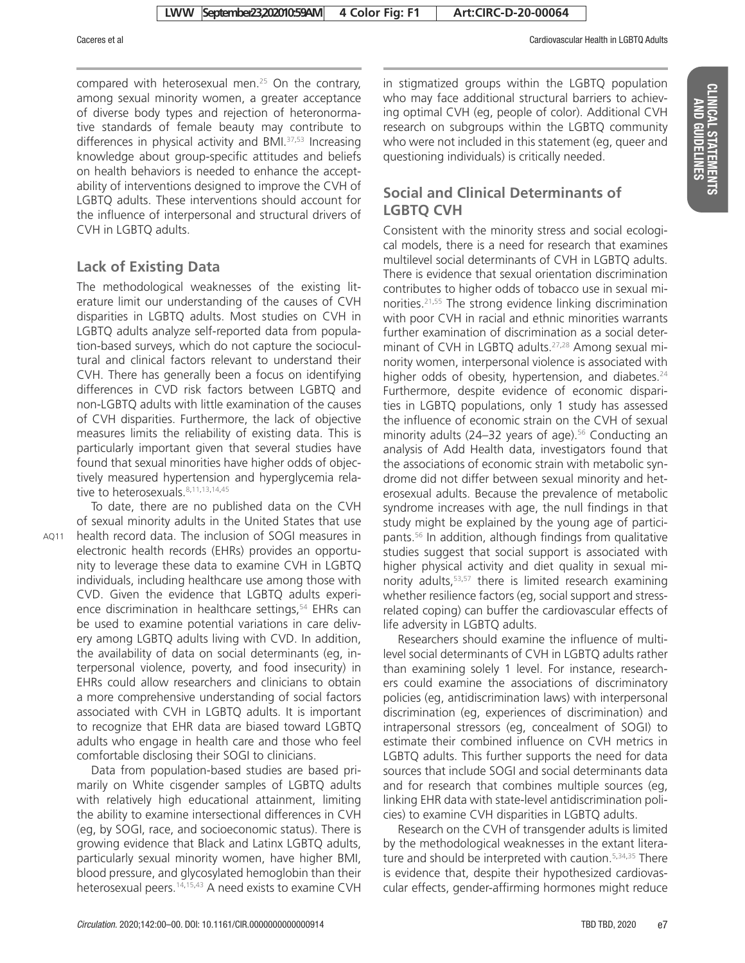Caceres et al Cardiovascular Health in LGBTQ Adults

compared with heterosexual men. $25$  On the contrary, among sexual minority women, a greater acceptance of diverse body types and rejection of heteronormative standards of female beauty may contribute to differences in physical activity and BMI.37,53 Increasing knowledge about group-specific attitudes and beliefs on health behaviors is needed to enhance the acceptability of interventions designed to improve the CVH of LGBTQ adults. These interventions should account for the influence of interpersonal and structural drivers of CVH in LGBTQ adults.

#### **Lack of Existing Data**

The methodological weaknesses of the existing literature limit our understanding of the causes of CVH disparities in LGBTQ adults. Most studies on CVH in LGBTQ adults analyze self-reported data from population-based surveys, which do not capture the sociocultural and clinical factors relevant to understand their CVH. There has generally been a focus on identifying differences in CVD risk factors between LGBTQ and non-LGBTQ adults with little examination of the causes of CVH disparities. Furthermore, the lack of objective measures limits the reliability of existing data. This is particularly important given that several studies have found that sexual minorities have higher odds of objectively measured hypertension and hyperglycemia relative to heterosexuals. 8,11,13,14,45

AQ11

To date, there are no published data on the CVH of sexual minority adults in the United States that use health record data. The inclusion of SOGI measures in electronic health records (EHRs) provides an opportunity to leverage these data to examine CVH in LGBTQ individuals, including healthcare use among those with CVD. Given the evidence that LGBTQ adults experience discrimination in healthcare settings,<sup>54</sup> EHRs can be used to examine potential variations in care delivery among LGBTQ adults living with CVD. In addition, the availability of data on social determinants (eg, interpersonal violence, poverty, and food insecurity) in EHRs could allow researchers and clinicians to obtain a more comprehensive understanding of social factors associated with CVH in LGBTQ adults. It is important to recognize that EHR data are biased toward LGBTQ adults who engage in health care and those who feel comfortable disclosing their SOGI to clinicians.

Data from population-based studies are based primarily on White cisgender samples of LGBTQ adults with relatively high educational attainment, limiting the ability to examine intersectional differences in CVH (eg, by SOGI, race, and socioeconomic status). There is growing evidence that Black and Latinx LGBTQ adults, particularly sexual minority women, have higher BMI, blood pressure, and glycosylated hemoglobin than their heterosexual peers.<sup>14,15,43</sup> A need exists to examine CVH

in stigmatized groups within the LGBTQ population who may face additional structural barriers to achieving optimal CVH (eg, people of color). Additional CVH research on subgroups within the LGBTQ community who were not included in this statement (eg, queer and questioning individuals) is critically needed.

# **Social and Clinical Determinants of LGBTQ CVH**

Consistent with the minority stress and social ecological models, there is a need for research that examines multilevel social determinants of CVH in LGBTQ adults. There is evidence that sexual orientation discrimination contributes to higher odds of tobacco use in sexual minorities.21,55 The strong evidence linking discrimination with poor CVH in racial and ethnic minorities warrants further examination of discrimination as a social determinant of CVH in LGBTQ adults.27,28 Among sexual minority women, interpersonal violence is associated with higher odds of obesity, hypertension, and diabetes. $24$ Furthermore, despite evidence of economic disparities in LGBTQ populations, only 1 study has assessed the influence of economic strain on the CVH of sexual minority adults (24–32 years of age). $56$  Conducting an analysis of Add Health data, investigators found that the associations of economic strain with metabolic syndrome did not differ between sexual minority and heterosexual adults. Because the prevalence of metabolic syndrome increases with age, the null findings in that study might be explained by the young age of participants.56 In addition, although findings from qualitative studies suggest that social support is associated with higher physical activity and diet quality in sexual minority adults,53,57 there is limited research examining whether resilience factors (eg, social support and stressrelated coping) can buffer the cardiovascular effects of life adversity in LGBTQ adults.

Researchers should examine the influence of multilevel social determinants of CVH in LGBTQ adults rather than examining solely 1 level. For instance, researchers could examine the associations of discriminatory policies (eg, antidiscrimination laws) with interpersonal discrimination (eg, experiences of discrimination) and intrapersonal stressors (eg, concealment of SOGI) to estimate their combined influence on CVH metrics in LGBTQ adults. This further supports the need for data sources that include SOGI and social determinants data and for research that combines multiple sources (eg, linking EHR data with state-level antidiscrimination policies) to examine CVH disparities in LGBTQ adults.

Research on the CVH of transgender adults is limited by the methodological weaknesses in the extant literature and should be interpreted with caution.<sup>5,34,35</sup> There is evidence that, despite their hypothesized cardiovascular effects, gender-affirming hormones might reduce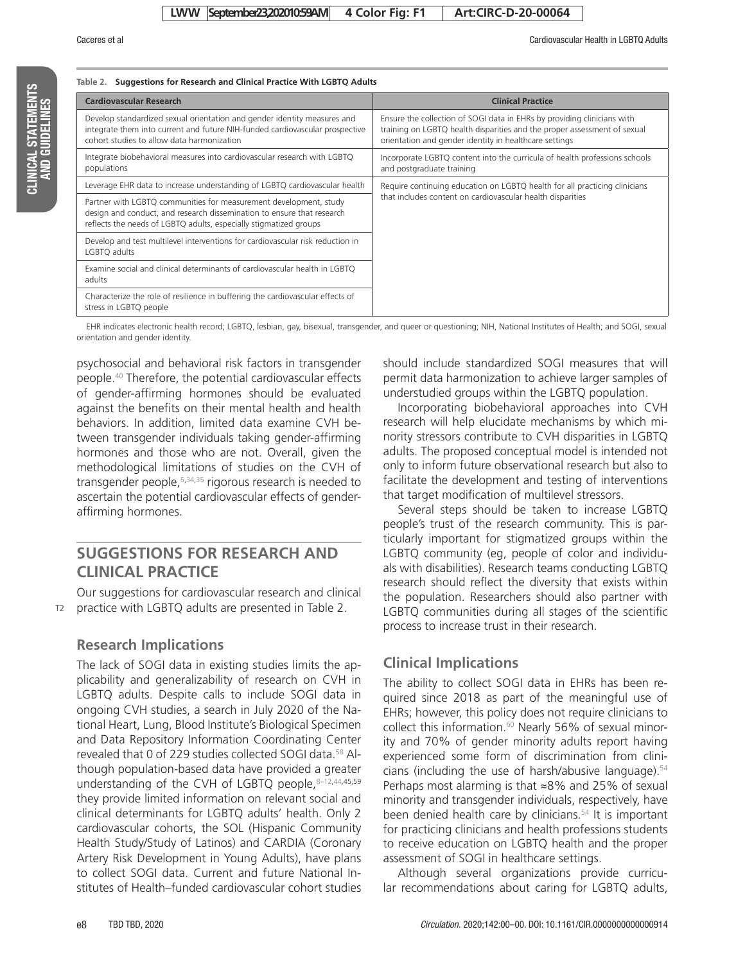#### **Table 2. Suggestions for Research and Clinical Practice With LGBTQ Adults**

| <b>Cardiovascular Research</b>                                                                                                                                                                                   | <b>Clinical Practice</b>                                                                                                                                                                                      |  |  |  |
|------------------------------------------------------------------------------------------------------------------------------------------------------------------------------------------------------------------|---------------------------------------------------------------------------------------------------------------------------------------------------------------------------------------------------------------|--|--|--|
| Develop standardized sexual orientation and gender identity measures and<br>integrate them into current and future NIH-funded cardiovascular prospective<br>cohort studies to allow data harmonization           | Ensure the collection of SOGI data in EHRs by providing clinicians with<br>training on LGBTQ health disparities and the proper assessment of sexual<br>orientation and gender identity in healthcare settings |  |  |  |
| Integrate biobehavioral measures into cardiovascular research with LGBTQ<br>populations                                                                                                                          | Incorporate LGBTQ content into the curricula of health professions schools<br>and postgraduate training                                                                                                       |  |  |  |
| Leverage EHR data to increase understanding of LGBTQ cardiovascular health                                                                                                                                       | Require continuing education on LGBTQ health for all practicing clinicians                                                                                                                                    |  |  |  |
| Partner with LGBTQ communities for measurement development, study<br>design and conduct, and research dissemination to ensure that research<br>reflects the needs of LGBTQ adults, especially stigmatized groups | that includes content on cardiovascular health disparities                                                                                                                                                    |  |  |  |
| Develop and test multilevel interventions for cardiovascular risk reduction in<br>LGBTQ adults                                                                                                                   |                                                                                                                                                                                                               |  |  |  |
| Examine social and clinical determinants of cardiovascular health in LGBTQ<br>adults                                                                                                                             |                                                                                                                                                                                                               |  |  |  |
| Characterize the role of resilience in buffering the cardiovascular effects of<br>stress in LGBTQ people                                                                                                         |                                                                                                                                                                                                               |  |  |  |

EHR indicates electronic health record; LGBTQ, lesbian, gay, bisexual, transgender, and queer or questioning; NIH, National Institutes of Health; and SOGI, sexual orientation and gender identity.

psychosocial and behavioral risk factors in transgender people.40 Therefore, the potential cardiovascular effects of gender-affirming hormones should be evaluated against the benefits on their mental health and health behaviors. In addition, limited data examine CVH between transgender individuals taking gender-affirming hormones and those who are not. Overall, given the methodological limitations of studies on the CVH of transgender people,5,34,35 rigorous research is needed to ascertain the potential cardiovascular effects of genderaffirming hormones.

#### **SUGGESTIONS FOR RESEARCH AND CLINICAL PRACTICE**

Our suggestions for cardiovascular research and clinical practice with LGBTQ adults are presented in Table 2.

#### **Research Implications**

T2

The lack of SOGI data in existing studies limits the applicability and generalizability of research on CVH in LGBTQ adults. Despite calls to include SOGI data in ongoing CVH studies, a search in July 2020 of the National Heart, Lung, Blood Institute's Biological Specimen and Data Repository Information Coordinating Center revealed that 0 of 229 studies collected SOGI data.<sup>58</sup> Although population-based data have provided a greater understanding of the CVH of LGBTQ people, 8-12,44,45,59 they provide limited information on relevant social and clinical determinants for LGBTQ adults' health. Only 2 cardiovascular cohorts, the SOL (Hispanic Community Health Study/Study of Latinos) and CARDIA (Coronary Artery Risk Development in Young Adults), have plans to collect SOGI data. Current and future National Institutes of Health–funded cardiovascular cohort studies

should include standardized SOGI measures that will permit data harmonization to achieve larger samples of understudied groups within the LGBTQ population.

Incorporating biobehavioral approaches into CVH research will help elucidate mechanisms by which minority stressors contribute to CVH disparities in LGBTQ adults. The proposed conceptual model is intended not only to inform future observational research but also to facilitate the development and testing of interventions that target modification of multilevel stressors.

Several steps should be taken to increase LGBTQ people's trust of the research community. This is particularly important for stigmatized groups within the LGBTQ community (eg, people of color and individuals with disabilities). Research teams conducting LGBTQ research should reflect the diversity that exists within the population. Researchers should also partner with LGBTQ communities during all stages of the scientific process to increase trust in their research.

#### **Clinical Implications**

The ability to collect SOGI data in EHRs has been required since 2018 as part of the meaningful use of EHRs; however, this policy does not require clinicians to collect this information. $60$  Nearly 56% of sexual minority and 70% of gender minority adults report having experienced some form of discrimination from clinicians (including the use of harsh/abusive language).  $54$ Perhaps most alarming is that ≈8% and 25% of sexual minority and transgender individuals, respectively, have been denied health care by clinicians.<sup>54</sup> It is important for practicing clinicians and health professions students to receive education on LGBTQ health and the proper assessment of SOGI in healthcare settings.

Although several organizations provide curricular recommendations about caring for LGBTQ adults,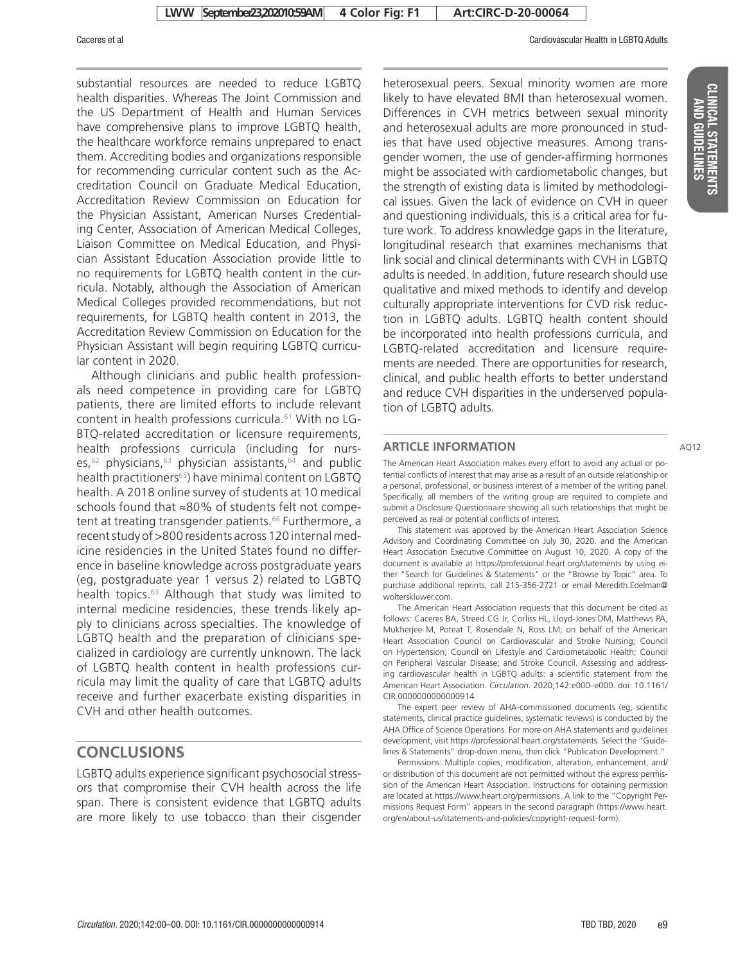#### LWW September 23202010:59AM 4 Color Fig: F1 | Art:CIRC-D-20-00064

Caceres et al Cardiovascular Health in LGBTQ Adults

substantial resources are needed to reduce LGBTQ health disparities. Whereas The Joint Commission and the US Department of Health and Human Services have comprehensive plans to improve LGBTQ health, the healthcare workforce remains unprepared to enact them. Accrediting bodies and organizations responsible for recommending curricular content such as the Accreditation Council on Graduate Medical Education, Accreditation Review Commission on Education for the Physician Assistant, American Nurses Credentialing Center, Association of American Medical Colleges, Liaison Committee on Medical Education, and Physician Assistant Education Association provide little to no requirements for LGBTQ health content in the curricula. Notably, although the Association of American Medical Colleges provided recommendations, but not requirements, for LGBTQ health content in 2013, the Accreditation Review Commission on Education for the Physician Assistant will begin requiring LGBTQ curricular content in 2020.

Although clinicians and public health professionals need competence in providing care for LGBTQ patients, there are limited efforts to include relevant content in health professions curricula.<sup>61</sup> With no LG-BTQ-related accreditation or licensure requirements, health professions curricula (including for nurses, $62$  physicians,  $63$  physician assistants,  $64$  and public health practitioners<sup>65</sup>) have minimal content on LGBTQ health. A 2018 online survey of students at 10 medical schools found that ≈80% of students felt not competent at treating transgender patients.<sup>66</sup> Furthermore, a recent study of >800 residents across 120 internal medicine residencies in the United States found no difference in baseline knowledge across postgraduate years (eg, postgraduate year 1 versus 2) related to LGBTQ health topics.<sup>63</sup> Although that study was limited to internal medicine residencies, these trends likely apply to clinicians across specialties. The knowledge of LGBTQ health and the preparation of clinicians specialized in cardiology are currently unknown. The lack of LGBTQ health content in health professions curricula may limit the quality of care that LGBTQ adults receive and further exacerbate existing disparities in CVH and other health outcomes.

#### **CONCLUSIONS**

LGBTQ adults experience significant psychosocial stressors that compromise their CVH health across the life span. There is consistent evidence that LGBTQ adults are more likely to use tobacco than their cisgender

heterosexual peers. Sexual minority women are more likely to have elevated BMI than heterosexual women. Differences in CVH metrics between sexual minority and heterosexual adults are more pronounced in studies that have used objective measures. Among transgender women, the use of gender-affirming hormones might be associated with cardiometabolic changes, but the strength of existing data is limited by methodological issues. Given the lack of evidence on CVH in queer and questioning individuals, this is a critical area for future work. To address knowledge gaps in the literature, longitudinal research that examines mechanisms that link social and clinical determinants with CVH in LGBTQ adults is needed. In addition, future research should use qualitative and mixed methods to identify and develop culturally appropriate interventions for CVD risk reduction in LGBTQ adults. LGBTQ health content should be incorporated into health professions curricula, and LGBTQ-related accreditation and licensure requirements are needed. There are opportunities for research, clinical, and public health efforts to better understand and reduce CVH disparities in the underserved population of LGBTQ adults.

#### **ARTICLE INFORMATION**

The American Heart Association makes every effort to avoid any actual or potential conflicts of interest that may arise as a result of an outside relationship or a personal, professional, or business interest of a member of the writing panel. Specifically, all members of the writing group are required to complete and submit a Disclosure Questionnaire showing all such relationships that might be perceived as real or potential conflicts of interest.

This statement was approved by the American Heart Association Science Advisory and Coordinating Committee on July 30, 2020. and the American Heart Association Executive Committee on August 10, 2020. A copy of the document is available at https://professional.heart.org/statements by using either "Search for Guidelines & Statements" or the "Browse by Topic" area. To purchase additional reprints, call 215-356-2721 or email Meredith.Edelman@ wolterskluwer.com.

The American Heart Association requests that this document be cited as follows: Caceres BA, Streed CG Jr, Corliss HL, Lloyd-Jones DM, Matthews PA, Mukherjee M, Poteat T, Rosendale N, Ross LM; on behalf of the American Heart Association Council on Cardiovascular and Stroke Nursing; Council on Hypertension; Council on Lifestyle and Cardiometabolic Health; Council on Peripheral Vascular Disease; and Stroke Council. Assessing and addressing cardiovascular health in LGBTQ adults: a scientific statement from the American Heart Association. *Circulation.* 2020;142:e000–e000. doi: 10.1161/ CIR.0000000000000914

The expert peer review of AHA-commissioned documents (eg, scientific statements, clinical practice guidelines, systematic reviews) is conducted by the AHA Office of Science Operations. For more on AHA statements and guidelines development, visit https://professional.heart.org/statements. Select the "Guidelines & Statements" drop-down menu, then click "Publication Development."

Permissions: Multiple copies, modification, alteration, enhancement, and/ or distribution of this document are not permitted without the express permission of the American Heart Association. Instructions for obtaining permission are located at https://www.heart.org/permissions. A link to the "Copyright Permissions Request Form" appears in the second paragraph (https://www.heart. org/en/about-us/statements-and-policies/copyright-request-form).

AQ12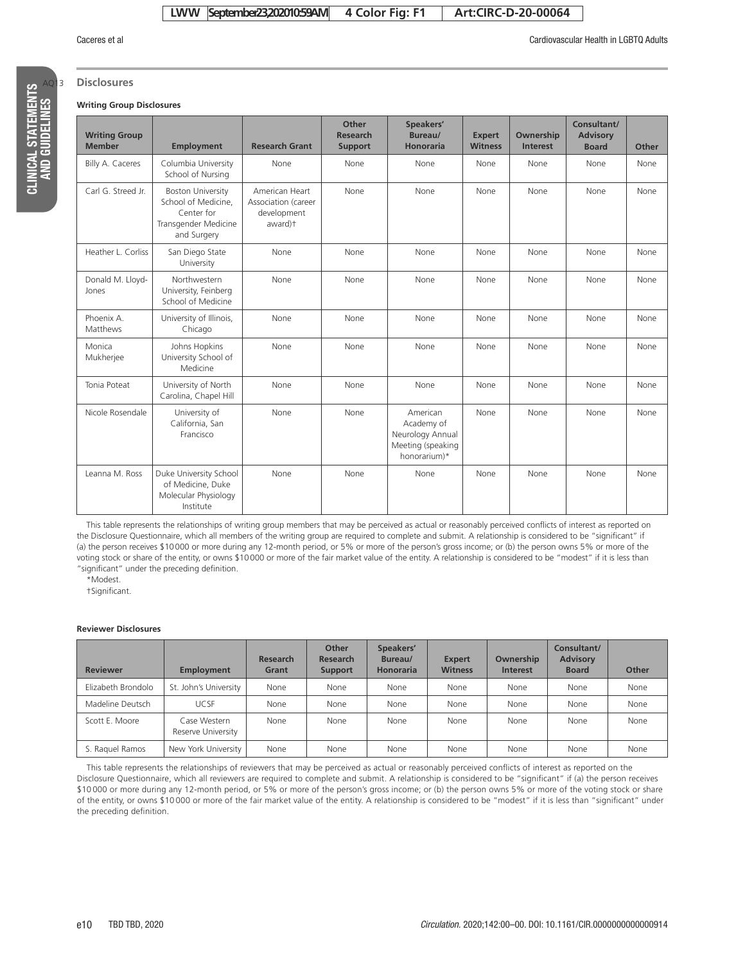#### **Writing Group Disclosures**

| <b>Disclosures</b><br><b>Writing Group Disclosures</b> |                                                                                                      |                                                                 |                                            |                                                                                 |                                 |                       |                                                |              |  |  |
|--------------------------------------------------------|------------------------------------------------------------------------------------------------------|-----------------------------------------------------------------|--------------------------------------------|---------------------------------------------------------------------------------|---------------------------------|-----------------------|------------------------------------------------|--------------|--|--|
| <b>Writing Group</b><br><b>Member</b>                  | <b>Employment</b>                                                                                    | <b>Research Grant</b>                                           | Other<br><b>Research</b><br><b>Support</b> | Speakers'<br>Bureau/<br><b>Honoraria</b>                                        | <b>Expert</b><br><b>Witness</b> | Ownership<br>Interest | Consultant/<br><b>Advisory</b><br><b>Board</b> | <b>Other</b> |  |  |
| Billy A. Caceres                                       | Columbia University<br>School of Nursing                                                             | None                                                            | None                                       | None                                                                            | None                            | None                  | None                                           | None         |  |  |
| Carl G. Streed Jr.                                     | <b>Boston University</b><br>School of Medicine.<br>Center for<br>Transgender Medicine<br>and Surgery | American Heart<br>Association (career<br>development<br>award)t | None                                       | None                                                                            | None                            | None                  | None                                           | None         |  |  |
| Heather L. Corliss                                     | San Diego State<br>University                                                                        | None                                                            | None                                       | None                                                                            | None                            | None                  | None                                           | None         |  |  |
| Donald M. Lloyd-<br>Jones                              | Northwestern<br>University, Feinberg<br>School of Medicine                                           | None                                                            | None                                       | None                                                                            | None                            | None                  | None                                           | None         |  |  |
| Phoenix A.<br>Matthews                                 | University of Illinois,<br>Chicago                                                                   | None                                                            | None                                       | None                                                                            | None                            | None                  | None                                           | None         |  |  |
| Monica<br>Mukherjee                                    | Johns Hopkins<br>University School of<br>Medicine                                                    | None                                                            | None                                       | None                                                                            | None                            | None                  | None                                           | None         |  |  |
| Tonia Poteat                                           | University of North<br>Carolina, Chapel Hill                                                         | None                                                            | None                                       | None                                                                            | None                            | None                  | None                                           | None         |  |  |
| Nicole Rosendale                                       | University of<br>California, San<br>Francisco                                                        | None                                                            | None                                       | American<br>Academy of<br>Neurology Annual<br>Meeting (speaking<br>honorarium)* | None                            | None                  | None                                           | None         |  |  |
| Leanna M. Ross                                         | Duke University School<br>of Medicine, Duke<br>Molecular Physiology<br>Institute                     | None                                                            | None                                       | None                                                                            | None                            | None                  | None                                           | None         |  |  |

This table represents the relationships of writing group members that may be perceived as actual or reasonably perceived conflicts of interest as reported on the Disclosure Questionnaire, which all members of the writing group are required to complete and submit. A relationship is considered to be "significant" if (a) the person receives \$10 000 or more during any 12-month period, or 5% or more of the person's gross income; or (b) the person owns 5% or more of the voting stock or share of the entity, or owns \$10 000 or more of the fair market value of the entity. A relationship is considered to be "modest" if it is less than "significant" under the preceding definition.

\*Modest.

†Significant.

#### **Reviewer Disclosures**

| <b>Reviewer</b>    | <b>Employment</b>                  | Research<br>Grant | Other<br><b>Research</b><br><b>Support</b> | Speakers'<br>Bureau/<br><b>Honoraria</b> | <b>Expert</b><br><b>Witness</b> | Ownership<br><b>Interest</b> | Consultant/<br><b>Advisory</b><br><b>Board</b> | Other |
|--------------------|------------------------------------|-------------------|--------------------------------------------|------------------------------------------|---------------------------------|------------------------------|------------------------------------------------|-------|
| Elizabeth Brondolo | St. John's University              | None              | None                                       | None                                     | None                            | None                         | None                                           | None  |
| Madeline Deutsch   | <b>UCSE</b>                        | None              | None                                       | None                                     | None                            | None                         | None                                           | None  |
| Scott E. Moore     | Case Western<br>Reserve University | None              | None                                       | None                                     | None                            | None                         | None                                           | None  |
| S. Raguel Ramos    | New York University                | None              | None                                       | None                                     | None                            | None                         | None                                           | None  |

This table represents the relationships of reviewers that may be perceived as actual or reasonably perceived conflicts of interest as reported on the Disclosure Questionnaire, which all reviewers are required to complete and submit. A relationship is considered to be "significant" if (a) the person receives \$10 000 or more during any 12-month period, or 5% or more of the person's gross income; or (b) the person owns 5% or more of the voting stock or share of the entity, or owns \$10 000 or more of the fair market value of the entity. A relationship is considered to be "modest" if it is less than "significant" under the preceding definition.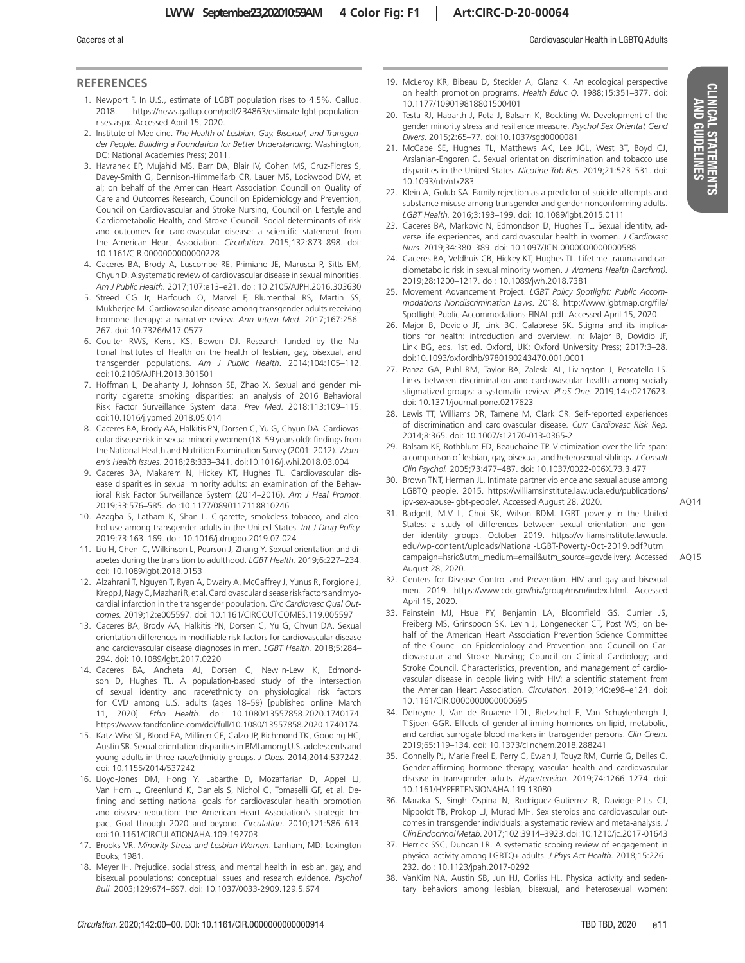#### **REFERENCES**

- 1. Newport F. In U.S., estimate of LGBT population rises to 4.5%. Gallup. 2018. https://news.gallup.com/poll/234863/estimate-lgbt-populationrises.aspx. Accessed April 15, 2020.
- 2. Institute of Medicine. *The Health of Lesbian, Gay, Bisexual, and Transgender People: Building a Foundation for Better Understanding*. Washington, DC: National Academies Press; 2011.
- 3. Havranek EP, Mujahid MS, Barr DA, Blair IV, Cohen MS, Cruz-Flores S, Davey-Smith G, Dennison-Himmelfarb CR, Lauer MS, Lockwood DW, et al; on behalf of the American Heart Association Council on Quality of Care and Outcomes Research, Council on Epidemiology and Prevention, Council on Cardiovascular and Stroke Nursing, Council on Lifestyle and Cardiometabolic Health, and Stroke Council. Social determinants of risk and outcomes for cardiovascular disease: a scientific statement from the American Heart Association. *Circulation.* 2015;132:873–898. doi: 10.1161/CIR.0000000000000228
- 4. Caceres BA, Brody A, Luscombe RE, Primiano JE, Marusca P, Sitts EM, Chyun D. A systematic review of cardiovascular disease in sexual minorities. *Am J Public Health.* 2017;107:e13–e21. doi: 10.2105/AJPH.2016.303630
- 5. Streed CG Jr, Harfouch O, Marvel F, Blumenthal RS, Martin SS, Mukherjee M. Cardiovascular disease among transgender adults receiving hormone therapy: a narrative review. *Ann Intern Med.* 2017;167:256– 267. doi: 10.7326/M17-0577
- 6. Coulter RWS, Kenst KS, Bowen DJ. Research funded by the National Institutes of Health on the health of lesbian, gay, bisexual, and transgender populations. *Am J Public Health*. 2014;104:105–112. doi:10.2105/AJPH.2013.301501
- 7. Hoffman L, Delahanty J, Johnson SE, Zhao X. Sexual and gender minority cigarette smoking disparities: an analysis of 2016 Behavioral Risk Factor Surveillance System data. *Prev Med*. 2018;113:109–115. doi:10.1016/j.ypmed.2018.05.014
- 8. Caceres BA, Brody AA, Halkitis PN, Dorsen C, Yu G, Chyun DA. Cardiovascular disease risk in sexual minority women (18–59 years old): findings from the National Health and Nutrition Examination Survey (2001–2012). *Women's Health Issues*. 2018;28:333–341. doi:10.1016/j.whi.2018.03.004
- 9. Caceres BA, Makarem N, Hickey KT, Hughes TL. Cardiovascular disease disparities in sexual minority adults: an examination of the Behavioral Risk Factor Surveillance System (2014–2016). *Am J Heal Promot*. 2019;33:576–585. doi:10.1177/0890117118810246
- 10. Azagba S, Latham K, Shan L. Cigarette, smokeless tobacco, and alcohol use among transgender adults in the United States. *Int J Drug Policy.* 2019;73:163–169. doi: 10.1016/j.drugpo.2019.07.024
- 11. Liu H, Chen IC, Wilkinson L, Pearson J, Zhang Y. Sexual orientation and diabetes during the transition to adulthood. *LGBT Health.* 2019;6:227–234. doi: 10.1089/lgbt.2018.0153
- 12. Alzahrani T, Nguyen T, Ryan A, Dwairy A, McCaffrey J, Yunus R, Forgione J, Krepp J, Nagy C, Mazhari R, et al. Cardiovascular disease risk factors and myocardial infarction in the transgender population. *Circ Cardiovasc Qual Outcomes.* 2019;12:e005597. doi: 10.1161/CIRCOUTCOMES.119.005597
- 13. Caceres BA, Brody AA, Halkitis PN, Dorsen C, Yu G, Chyun DA. Sexual orientation differences in modifiable risk factors for cardiovascular disease and cardiovascular disease diagnoses in men. *LGBT Health.* 2018;5:284– 294. doi: 10.1089/lgbt.2017.0220
- 14. Caceres BA, Ancheta AJ, Dorsen C, Newlin-Lew K, Edmondson D, Hughes TL. A population-based study of the intersection of sexual identity and race/ethnicity on physiological risk factors for CVD among U.S. adults (ages 18–59) [published online March 11, 2020]. *Ethn Health*. doi: 10.1080/13557858.2020.1740174. https://www.tandfonline.com/doi/full/10.1080/13557858.2020.1740174.
- 15. Katz-Wise SL, Blood EA, Milliren CE, Calzo JP, Richmond TK, Gooding HC, Austin SB. Sexual orientation disparities in BMI among U.S. adolescents and young adults in three race/ethnicity groups. *J Obes.* 2014;2014:537242. doi: 10.1155/2014/537242
- 16. Lloyd-Jones DM, Hong Y, Labarthe D, Mozaffarian D, Appel LJ, Van Horn L, Greenlund K, Daniels S, Nichol G, Tomaselli GF, et al. Defining and setting national goals for cardiovascular health promotion and disease reduction: the American Heart Association's strategic Impact Goal through 2020 and beyond. *Circulation*. 2010;121:586–613. doi:10.1161/CIRCULATIONAHA.109.192703
- 17. Brooks VR. *Minority Stress and Lesbian Women*. Lanham, MD: Lexington Books; 1981.
- 18. Meyer IH. Prejudice, social stress, and mental health in lesbian, gay, and bisexual populations: conceptual issues and research evidence. *Psychol Bull.* 2003;129:674–697. doi: 10.1037/0033-2909.129.5.674
- 19. McLeroy KR, Bibeau D, Steckler A, Glanz K. An ecological perspective on health promotion programs. *Health Educ Q.* 1988;15:351–377. doi: 10.1177/109019818801500401
- 20. Testa RJ, Habarth J, Peta J, Balsam K, Bockting W. Development of the gender minority stress and resilience measure. *Psychol Sex Orientat Gend Divers*. 2015;2:65–77. doi:10.1037/sgd0000081
- 21. McCabe SE, Hughes TL, Matthews AK, Lee JGL, West BT, Boyd CJ, Arslanian-Engoren C. Sexual orientation discrimination and tobacco use disparities in the United States. *Nicotine Tob Res.* 2019;21:523–531. doi: 10.1093/ntr/ntx283
- 22. Klein A, Golub SA. Family rejection as a predictor of suicide attempts and substance misuse among transgender and gender nonconforming adults. *LGBT Health.* 2016;3:193–199. doi: 10.1089/lgbt.2015.0111
- 23. Caceres BA, Markovic N, Edmondson D, Hughes TL. Sexual identity, adverse life experiences, and cardiovascular health in women. *J Cardiovasc Nurs.* 2019;34:380–389. doi: 10.1097/JCN.0000000000000588
- 24. Caceres BA, Veldhuis CB, Hickey KT, Hughes TL. Lifetime trauma and cardiometabolic risk in sexual minority women. *J Womens Health (Larchmt).* 2019;28:1200–1217. doi: 10.1089/jwh.2018.7381
- 25. Movement Advancement Project. *LGBT Policy Spotlight: Public Accommodations Nondiscrimination Laws*. 2018. http://www.lgbtmap.org/file/ Spotlight-Public-Accommodations-FINAL.pdf. Accessed April 15, 2020.
- 26. Major B, Dovidio JF, Link BG, Calabrese SK. Stigma and its implications for health: introduction and overview. In: Major B, Dovidio JF, Link BG, eds. 1st ed. Oxford, UK: Oxford University Press; 2017:3–28. doi:10.1093/oxfordhb/9780190243470.001.0001
- 27. Panza GA, Puhl RM, Taylor BA, Zaleski AL, Livingston J, Pescatello LS. Links between discrimination and cardiovascular health among socially stigmatized groups: a systematic review. *PLoS One.* 2019;14:e0217623. doi: 10.1371/journal.pone.0217623
- 28. Lewis TT, Williams DR, Tamene M, Clark CR. Self-reported experiences of discrimination and cardiovascular disease. *Curr Cardiovasc Risk Rep.* 2014;8:365. doi: 10.1007/s12170-013-0365-2
- 29. Balsam KF, Rothblum ED, Beauchaine TP. Victimization over the life span: a comparison of lesbian, gay, bisexual, and heterosexual siblings. *J Consult Clin Psychol.* 2005;73:477–487. doi: 10.1037/0022-006X.73.3.477
- 30. Brown TNT, Herman JL. Intimate partner violence and sexual abuse among LGBTQ people. 2015. https://williamsinstitute.law.ucla.edu/publications/ ipv-sex-abuse-lgbt-people/. Accessed August 28, 2020.
- Badgett, M.V L, Choi SK, Wilson BDM. LGBT poverty in the United States: a study of differences between sexual orientation and gender identity groups. October 2019. https://williamsinstitute.law.ucla. edu/wp-content/uploads/National-LGBT-Poverty-Oct-2019.pdf?utm\_ campaign=hsric&utm\_medium=email&utm\_source=govdelivery. Accessed August 28, 2020. AQ15
- 32. Centers for Disease Control and Prevention. HIV and gay and bisexual men. 2019. https://www.cdc.gov/hiv/group/msm/index.html. Accessed April 15, 2020.
- 33. Feinstein MJ, Hsue PY, Benjamin LA, Bloomfield GS, Currier JS, Freiberg MS, Grinspoon SK, Levin J, Longenecker CT, Post WS; on behalf of the American Heart Association Prevention Science Committee of the Council on Epidemiology and Prevention and Council on Cardiovascular and Stroke Nursing; Council on Clinical Cardiology; and Stroke Council. Characteristics, prevention, and management of cardiovascular disease in people living with HIV: a scientific statement from the American Heart Association. *Circulation*. 2019;140:e98–e124. doi: 10.1161/CIR.0000000000000695
- 34. Defreyne J, Van de Bruaene LDL, Rietzschel E, Van Schuylenbergh J, T'Sjoen GGR. Effects of gender-affirming hormones on lipid, metabolic, and cardiac surrogate blood markers in transgender persons. *Clin Chem.* 2019;65:119–134. doi: 10.1373/clinchem.2018.288241
- 35. Connelly PJ, Marie Freel E, Perry C, Ewan J, Touyz RM, Currie G, Delles C. Gender-affirming hormone therapy, vascular health and cardiovascular disease in transgender adults. *Hypertension.* 2019;74:1266–1274. doi: 10.1161/HYPERTENSIONAHA.119.13080
- 36. Maraka S, Singh Ospina N, Rodriguez-Gutierrez R, Davidge-Pitts CJ, Nippoldt TB, Prokop LJ, Murad MH. Sex steroids and cardiovascular outcomes in transgender individuals: a systematic review and meta-analysis. *J Clin Endocrinol Metab.* 2017;102:3914–3923. doi: 10.1210/jc.2017-01643
- 37. Herrick SSC, Duncan LR. A systematic scoping review of engagement in physical activity among LGBTQ+ adults. *J Phys Act Health.* 2018;15:226– 232. doi: 10.1123/jpah.2017-0292
- 38. VanKim NA, Austin SB, Jun HJ, Corliss HL. Physical activity and sedentary behaviors among lesbian, bisexual, and heterosexual women:

**CLINICAL STATEMENTS AND GUIDELINES**

**CLINICAL STATEMENTS**<br>And Guidelines